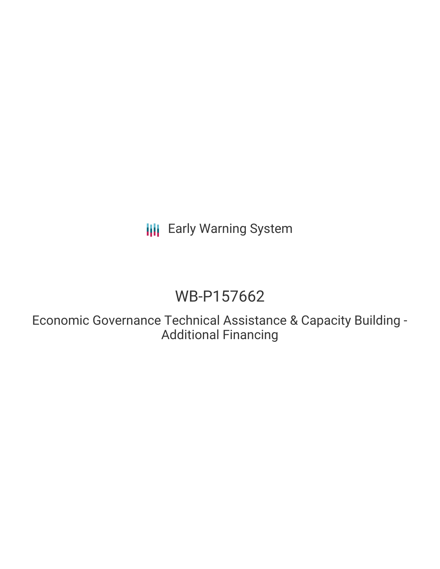**III** Early Warning System

# WB-P157662

Economic Governance Technical Assistance & Capacity Building - Additional Financing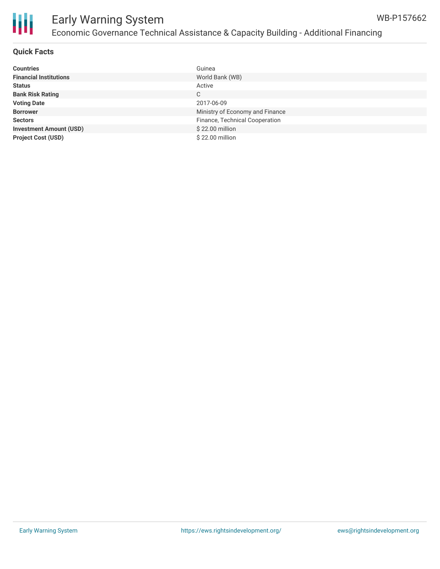

#### **Quick Facts**

| <b>Countries</b>               | Guinea                          |
|--------------------------------|---------------------------------|
| <b>Financial Institutions</b>  | World Bank (WB)                 |
| <b>Status</b>                  | Active                          |
| <b>Bank Risk Rating</b>        | C                               |
| <b>Voting Date</b>             | 2017-06-09                      |
| <b>Borrower</b>                | Ministry of Economy and Finance |
| <b>Sectors</b>                 | Finance, Technical Cooperation  |
| <b>Investment Amount (USD)</b> | \$22.00 million                 |
| <b>Project Cost (USD)</b>      | \$22.00 million                 |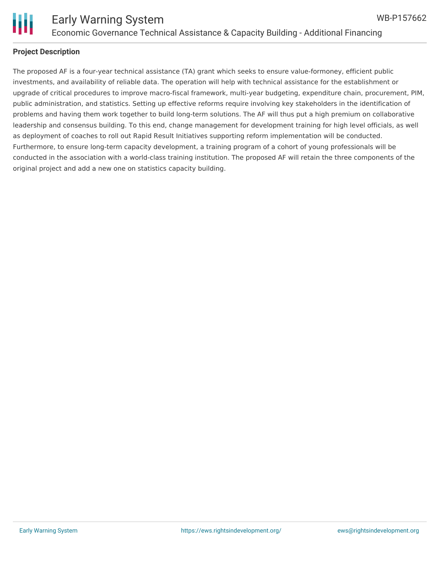

#### **Project Description**

The proposed AF is a four-year technical assistance (TA) grant which seeks to ensure value-formoney, efficient public investments, and availability of reliable data. The operation will help with technical assistance for the establishment or upgrade of critical procedures to improve macro-fiscal framework, multi-year budgeting, expenditure chain, procurement, PIM, public administration, and statistics. Setting up effective reforms require involving key stakeholders in the identification of problems and having them work together to build long-term solutions. The AF will thus put a high premium on collaborative leadership and consensus building. To this end, change management for development training for high level officials, as well as deployment of coaches to roll out Rapid Result Initiatives supporting reform implementation will be conducted. Furthermore, to ensure long-term capacity development, a training program of a cohort of young professionals will be conducted in the association with a world-class training institution. The proposed AF will retain the three components of the original project and add a new one on statistics capacity building.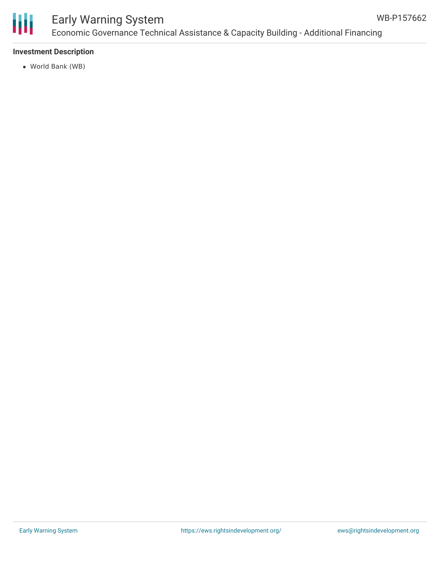

### Early Warning System Economic Governance Technical Assistance & Capacity Building - Additional Financing

#### **Investment Description**

World Bank (WB)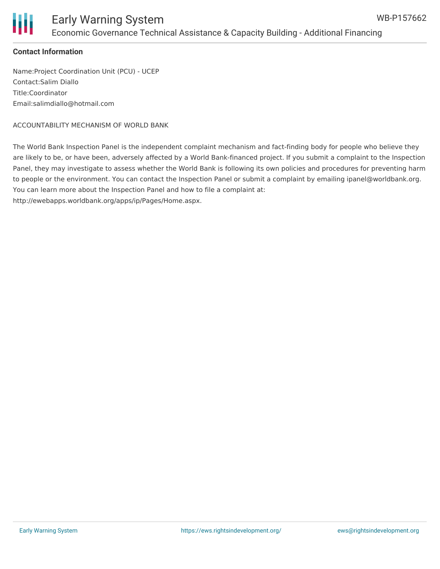#### **Contact Information**

Name:Project Coordination Unit (PCU) - UCEP Contact:Salim Diallo Title:Coordinator Email:salimdiallo@hotmail.com

ACCOUNTABILITY MECHANISM OF WORLD BANK

The World Bank Inspection Panel is the independent complaint mechanism and fact-finding body for people who believe they are likely to be, or have been, adversely affected by a World Bank-financed project. If you submit a complaint to the Inspection Panel, they may investigate to assess whether the World Bank is following its own policies and procedures for preventing harm to people or the environment. You can contact the Inspection Panel or submit a complaint by emailing ipanel@worldbank.org. You can learn more about the Inspection Panel and how to file a complaint at:

http://ewebapps.worldbank.org/apps/ip/Pages/Home.aspx.